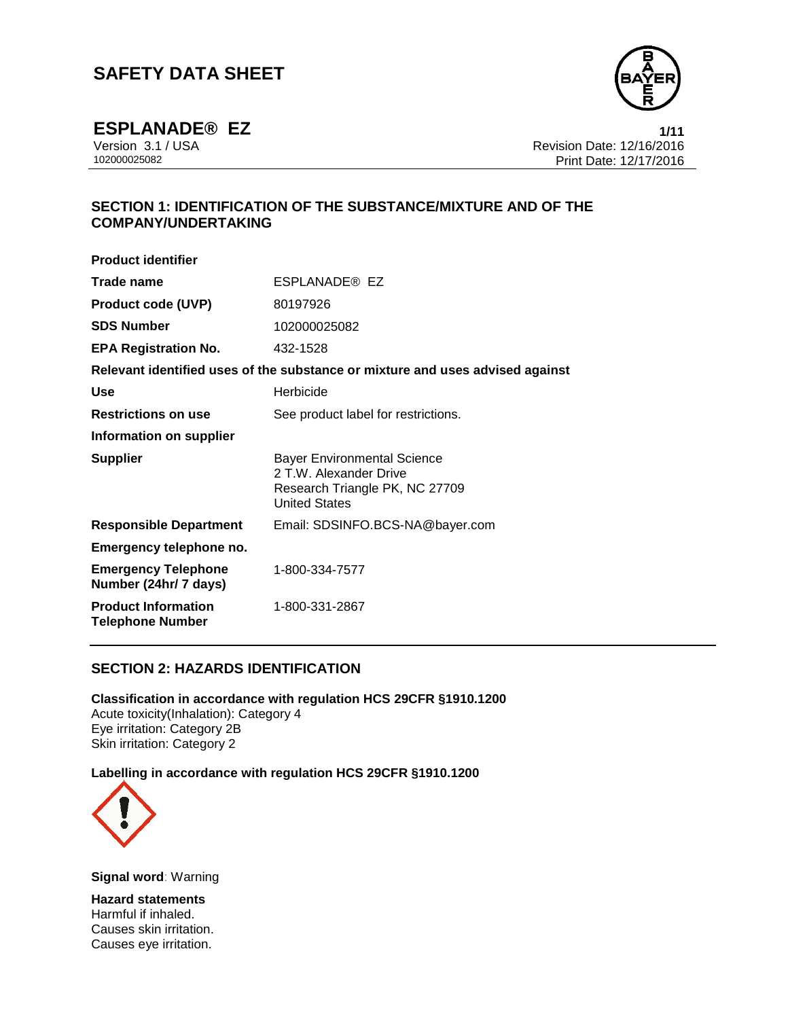

**ESPLANADE® EZ**<br>Version 3.1 / USA **1/11**<br>Revision Date: 12/16/2016 Version 3.1 / USA Revision Date: 12/16/2016 Print Date: 12/17/2016

# **SECTION 1: IDENTIFICATION OF THE SUBSTANCE/MIXTURE AND OF THE COMPANY/UNDERTAKING**

| <b>Product identifier</b>                             |                                                                                                                        |
|-------------------------------------------------------|------------------------------------------------------------------------------------------------------------------------|
| Trade name                                            | ESPLANADE® EZ                                                                                                          |
| <b>Product code (UVP)</b>                             | 80197926                                                                                                               |
| <b>SDS Number</b>                                     | 102000025082                                                                                                           |
| <b>EPA Registration No.</b>                           | 432-1528                                                                                                               |
|                                                       | Relevant identified uses of the substance or mixture and uses advised against                                          |
| <b>Use</b>                                            | Herbicide                                                                                                              |
| <b>Restrictions on use</b>                            | See product label for restrictions.                                                                                    |
| Information on supplier                               |                                                                                                                        |
| <b>Supplier</b>                                       | <b>Bayer Environmental Science</b><br>2 T.W. Alexander Drive<br>Research Triangle PK, NC 27709<br><b>United States</b> |
| <b>Responsible Department</b>                         | Email: SDSINFO.BCS-NA@bayer.com                                                                                        |
| Emergency telephone no.                               |                                                                                                                        |
| <b>Emergency Telephone</b><br>Number (24hr/ 7 days)   | 1-800-334-7577                                                                                                         |
| <b>Product Information</b><br><b>Telephone Number</b> | 1-800-331-2867                                                                                                         |

# **SECTION 2: HAZARDS IDENTIFICATION**

**Classification in accordance with regulation HCS 29CFR §1910.1200** Acute toxicity(Inhalation): Category 4 Eye irritation: Category 2B Skin irritation: Category 2

## **Labelling in accordance with regulation HCS 29CFR §1910.1200**



**Signal word**: Warning

**Hazard statements** Harmful if inhaled. Causes skin irritation. Causes eye irritation.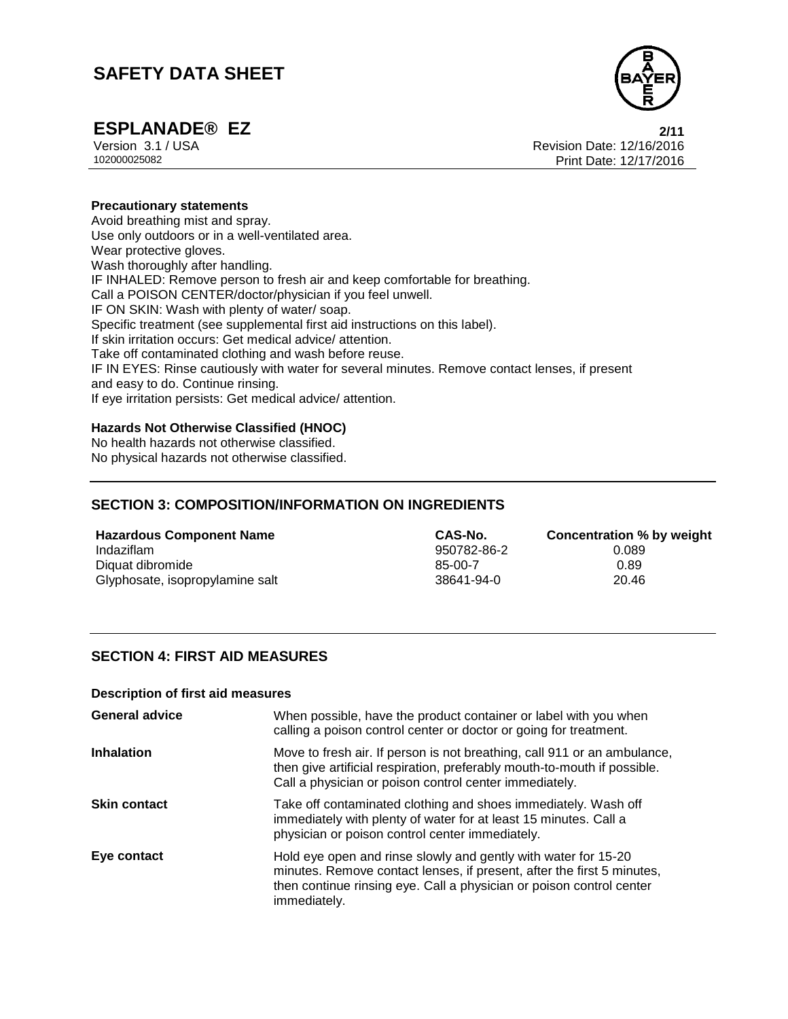

**ESPLANADE® EZ**<br>
Version 3.1 / USA **2/11**<br>
Revision Date: 12/16/2016 Version 3.1 / USA Revision Date: 12/16/2016<br>102000025082<br>Print Date: 12/17/2016 Print Date: 12/17/2016

## **Precautionary statements**

Avoid breathing mist and spray. Use only outdoors or in a well-ventilated area. Wear protective gloves. Wash thoroughly after handling. IF INHALED: Remove person to fresh air and keep comfortable for breathing. Call a POISON CENTER/doctor/physician if you feel unwell. IF ON SKIN: Wash with plenty of water/ soap. Specific treatment (see supplemental first aid instructions on this label). If skin irritation occurs: Get medical advice/ attention. Take off contaminated clothing and wash before reuse. IF IN EYES: Rinse cautiously with water for several minutes. Remove contact lenses, if present and easy to do. Continue rinsing. If eye irritation persists: Get medical advice/ attention.

## **Hazards Not Otherwise Classified (HNOC)**

No health hazards not otherwise classified. No physical hazards not otherwise classified.

# **SECTION 3: COMPOSITION/INFORMATION ON INGREDIENTS**

**Hazardous Component Name CAS-No. Concentration % by weight** Indaziflam 950782-86-2 0.089 Diquat dibromide 6.89 and the set of the set of the set of the set of the set of the set of the set of the set of the set of the set of the set of the set of the set of the set of the set of the set of the set of the set o Glyphosate, isopropylamine salt 38641-94-0 38641-94-0

# **SECTION 4: FIRST AID MEASURES**

#### **Description of first aid measures**

| <b>General advice</b> | When possible, have the product container or label with you when<br>calling a poison control center or doctor or going for treatment.                                                                                            |
|-----------------------|----------------------------------------------------------------------------------------------------------------------------------------------------------------------------------------------------------------------------------|
| <b>Inhalation</b>     | Move to fresh air. If person is not breathing, call 911 or an ambulance,<br>then give artificial respiration, preferably mouth-to-mouth if possible.<br>Call a physician or poison control center immediately.                   |
| <b>Skin contact</b>   | Take off contaminated clothing and shoes immediately. Wash off<br>immediately with plenty of water for at least 15 minutes. Call a<br>physician or poison control center immediately.                                            |
| Eye contact           | Hold eye open and rinse slowly and gently with water for 15-20<br>minutes. Remove contact lenses, if present, after the first 5 minutes,<br>then continue rinsing eye. Call a physician or poison control center<br>immediately. |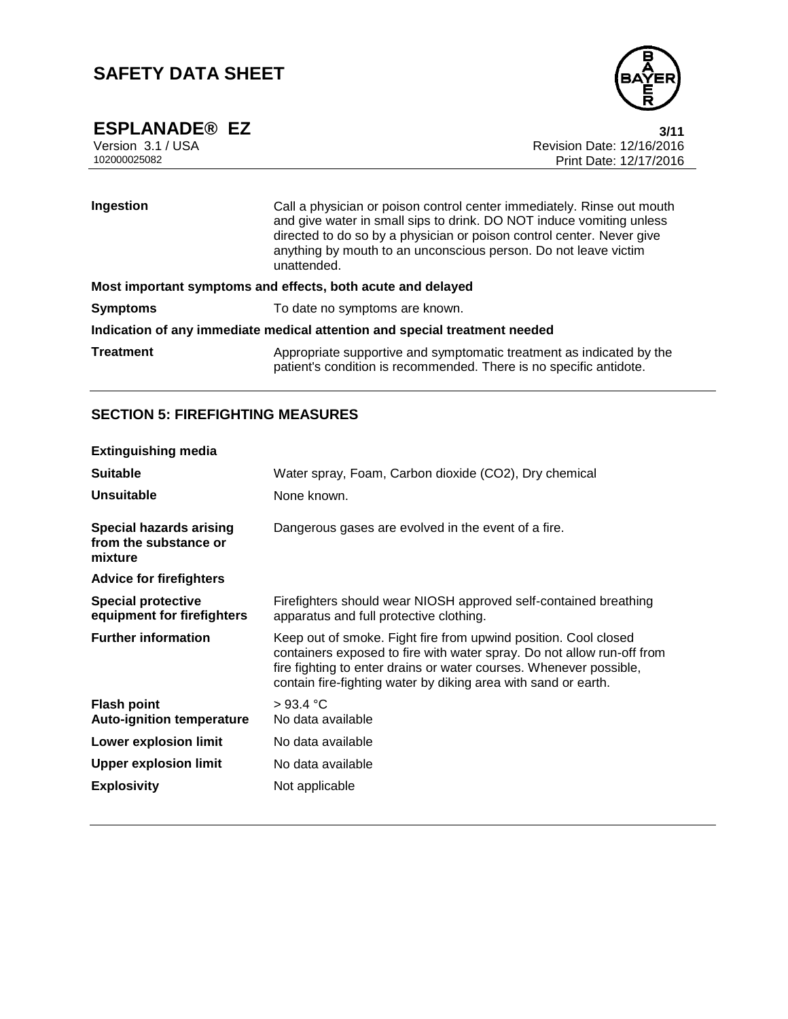

**ESPLANADE® EZ**<br>Version 3.1 / USA **3/11**<br>Revision Date: 12/16/2016 Version 3.1 / USA Revision Date: 12/16/2016 Print Date: 12/17/2016

| Ingestion                                                                  | Call a physician or poison control center immediately. Rinse out mouth<br>and give water in small sips to drink. DO NOT induce vomiting unless<br>directed to do so by a physician or poison control center. Never give<br>anything by mouth to an unconscious person. Do not leave victim<br>unattended. |  |
|----------------------------------------------------------------------------|-----------------------------------------------------------------------------------------------------------------------------------------------------------------------------------------------------------------------------------------------------------------------------------------------------------|--|
| Most important symptoms and effects, both acute and delayed                |                                                                                                                                                                                                                                                                                                           |  |
| <b>Symptoms</b>                                                            | To date no symptoms are known.                                                                                                                                                                                                                                                                            |  |
| Indication of any immediate medical attention and special treatment needed |                                                                                                                                                                                                                                                                                                           |  |
| <b>Treatment</b>                                                           | Appropriate supportive and symptomatic treatment as indicated by the<br>patient's condition is recommended. There is no specific antidote.                                                                                                                                                                |  |

# **SECTION 5: FIREFIGHTING MEASURES**

| <b>Extinguishing media</b>                                         |                                                                                                                                                                                                                                                                                   |
|--------------------------------------------------------------------|-----------------------------------------------------------------------------------------------------------------------------------------------------------------------------------------------------------------------------------------------------------------------------------|
| <b>Suitable</b>                                                    | Water spray, Foam, Carbon dioxide (CO2), Dry chemical                                                                                                                                                                                                                             |
| <b>Unsuitable</b>                                                  | None known.                                                                                                                                                                                                                                                                       |
| <b>Special hazards arising</b><br>from the substance or<br>mixture | Dangerous gases are evolved in the event of a fire.                                                                                                                                                                                                                               |
| <b>Advice for firefighters</b>                                     |                                                                                                                                                                                                                                                                                   |
| <b>Special protective</b><br>equipment for firefighters            | Firefighters should wear NIOSH approved self-contained breathing<br>apparatus and full protective clothing.                                                                                                                                                                       |
| <b>Further information</b>                                         | Keep out of smoke. Fight fire from upwind position. Cool closed<br>containers exposed to fire with water spray. Do not allow run-off from<br>fire fighting to enter drains or water courses. Whenever possible,<br>contain fire-fighting water by diking area with sand or earth. |
| <b>Flash point</b><br><b>Auto-ignition temperature</b>             | $>93.4$ °C<br>No data available                                                                                                                                                                                                                                                   |
| <b>Lower explosion limit</b>                                       | No data available                                                                                                                                                                                                                                                                 |
| <b>Upper explosion limit</b>                                       | No data available                                                                                                                                                                                                                                                                 |
| <b>Explosivity</b>                                                 | Not applicable                                                                                                                                                                                                                                                                    |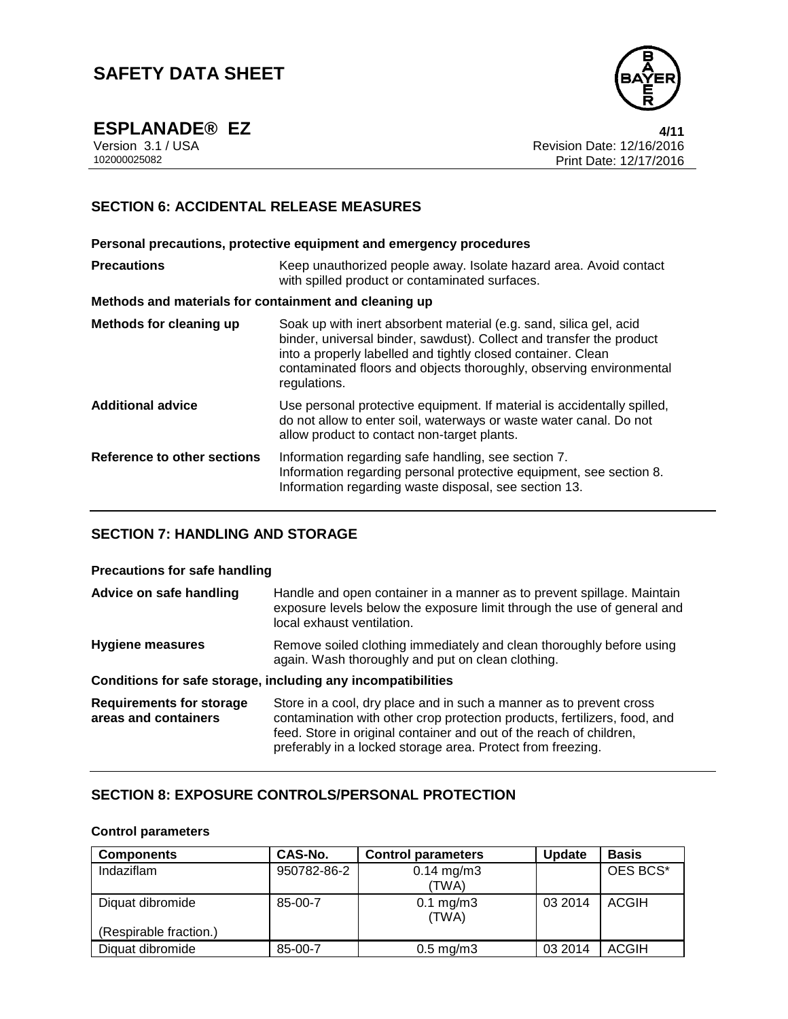

**ESPLANADE® EZ**<br>Version 3.1 / USA **4/11**<br>Revision Date: 12/16/2016 Version 3.1 / USA Revision Date: 12/16/2016 Print Date: 12/17/2016

# **SECTION 6: ACCIDENTAL RELEASE MEASURES**

**Personal precautions, protective equipment and emergency procedures Precautions Keep unauthorized people away. Isolate hazard area. Avoid contact** with spilled product or contaminated surfaces. **Methods and materials for containment and cleaning up Methods for cleaning up** Soak up with inert absorbent material (e.g. sand, silica gel, acid binder, universal binder, sawdust). Collect and transfer the product into a properly labelled and tightly closed container. Clean contaminated floors and objects thoroughly, observing environmental regulations. **Additional advice** Use personal protective equipment. If material is accidentally spilled, do not allow to enter soil, waterways or waste water canal. Do not allow product to contact non-target plants. **Reference to other sections** Information regarding safe handling, see section 7. Information regarding personal protective equipment, see section 8. Information regarding waste disposal, see section 13.

# **SECTION 7: HANDLING AND STORAGE**

#### **Precautions for safe handling**

| Advice on safe handling                                 | Handle and open container in a manner as to prevent spillage. Maintain<br>exposure levels below the exposure limit through the use of general and<br>local exhaust ventilation.                                                                                                        |
|---------------------------------------------------------|----------------------------------------------------------------------------------------------------------------------------------------------------------------------------------------------------------------------------------------------------------------------------------------|
| Hygiene measures                                        | Remove soiled clothing immediately and clean thoroughly before using<br>again. Wash thoroughly and put on clean clothing.                                                                                                                                                              |
|                                                         | Conditions for safe storage, including any incompatibilities                                                                                                                                                                                                                           |
| <b>Requirements for storage</b><br>areas and containers | Store in a cool, dry place and in such a manner as to prevent cross<br>contamination with other crop protection products, fertilizers, food, and<br>feed. Store in original container and out of the reach of children,<br>preferably in a locked storage area. Protect from freezing. |

## **SECTION 8: EXPOSURE CONTROLS/PERSONAL PROTECTION**

#### **Control parameters**

| <b>Components</b>                          | CAS-No.     | <b>Control parameters</b>      | <b>Update</b> | <b>Basis</b> |
|--------------------------------------------|-------------|--------------------------------|---------------|--------------|
| Indaziflam                                 | 950782-86-2 | $0.14 \text{ mg/m}$ 3<br>(TWA) |               | OES BCS*     |
| Diquat dibromide<br>(Respirable fraction.) | 85-00-7     | $0.1$ mg/m $3$<br>(TWA)        | 03 2014       | <b>ACGIH</b> |
| Diquat dibromide                           | 85-00-7     | $0.5$ mg/m $3$                 | 03 2014       | <b>ACGIH</b> |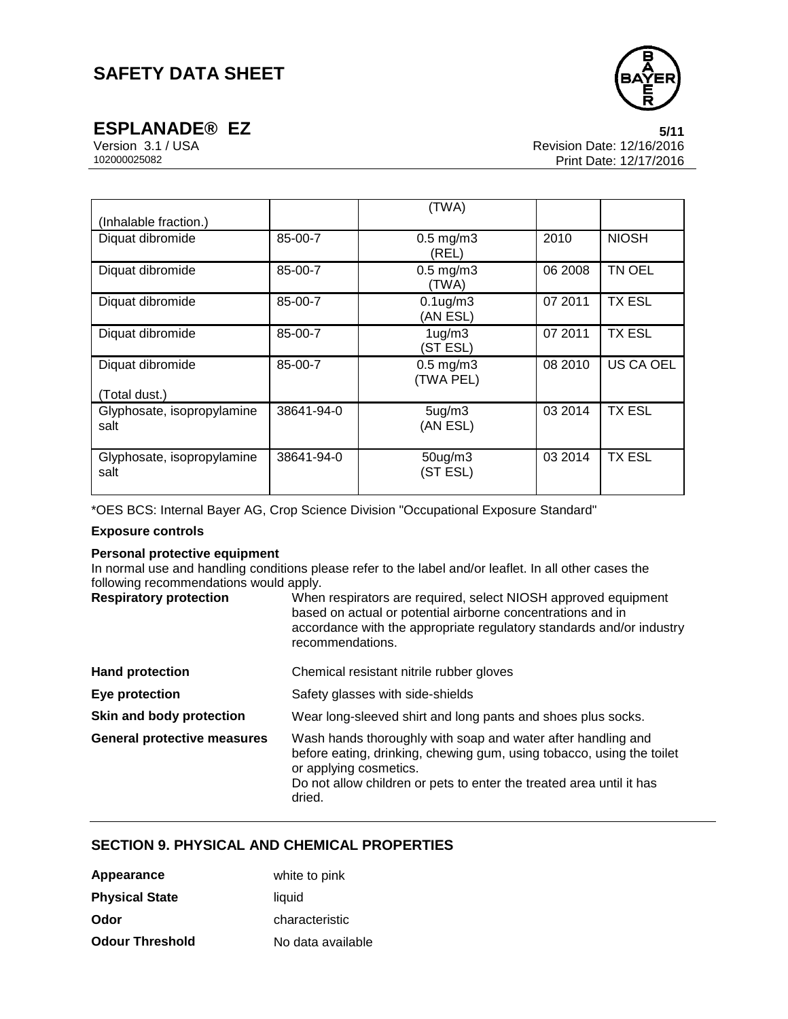

**ESPLANADE® EZ** 5/11<br>Version 3.1 / USA 5/11<br>Revision Date: 12/16/2016 Version 3.1 / USA Revision Date: 12/16/2016 Print Date: 12/17/2016

| (Inhalable fraction.)              |            | (TWA)                           |         |               |
|------------------------------------|------------|---------------------------------|---------|---------------|
| Diquat dibromide                   | 85-00-7    | $0.5$ mg/m $3$<br>(REL)         | 2010    | <b>NIOSH</b>  |
| Diquat dibromide                   | 85-00-7    | $0.5$ mg/m $3$<br>(TWA)         | 06 2008 | TN OEL        |
| Diquat dibromide                   | 85-00-7    | $0.1$ ug/m $3$<br>(AN ESL)      | 07 2011 | <b>TX ESL</b> |
| Diquat dibromide                   | 85-00-7    | 1 <sub>ug</sub> /m3<br>(ST ESL) | 07 2011 | <b>TX ESL</b> |
| Diquat dibromide<br>(Total dust.)  | 85-00-7    | $0.5$ mg/m $3$<br>(TWA PEL)     | 08 2010 | US CA OEL     |
| Glyphosate, isopropylamine<br>salt | 38641-94-0 | 5 <sub>ug</sub> /m3<br>(AN ESL) | 03 2014 | <b>TX ESL</b> |
| Glyphosate, isopropylamine<br>salt | 38641-94-0 | $50$ ug/m $3$<br>(ST ESL)       | 03 2014 | <b>TX ESL</b> |

\*OES BCS: Internal Bayer AG, Crop Science Division "Occupational Exposure Standard"

## **Exposure controls**

#### **Personal protective equipment**

In normal use and handling conditions please refer to the label and/or leaflet. In all other cases the following recommendations would apply.

| <b>Respiratory protection</b>      | When respirators are required, select NIOSH approved equipment<br>based on actual or potential airborne concentrations and in<br>accordance with the appropriate regulatory standards and/or industry                                             |
|------------------------------------|---------------------------------------------------------------------------------------------------------------------------------------------------------------------------------------------------------------------------------------------------|
|                                    | recommendations.                                                                                                                                                                                                                                  |
| <b>Hand protection</b>             | Chemical resistant nitrile rubber gloves                                                                                                                                                                                                          |
| Eye protection                     | Safety glasses with side-shields                                                                                                                                                                                                                  |
| Skin and body protection           | Wear long-sleeved shirt and long pants and shoes plus socks.                                                                                                                                                                                      |
| <b>General protective measures</b> | Wash hands thoroughly with soap and water after handling and<br>before eating, drinking, chewing gum, using tobacco, using the toilet<br>or applying cosmetics.<br>Do not allow children or pets to enter the treated area until it has<br>dried. |

# **SECTION 9. PHYSICAL AND CHEMICAL PROPERTIES**

| Appearance             | white to pink     |
|------------------------|-------------------|
| <b>Physical State</b>  | liquid            |
| Odor                   | characteristic    |
| <b>Odour Threshold</b> | No data available |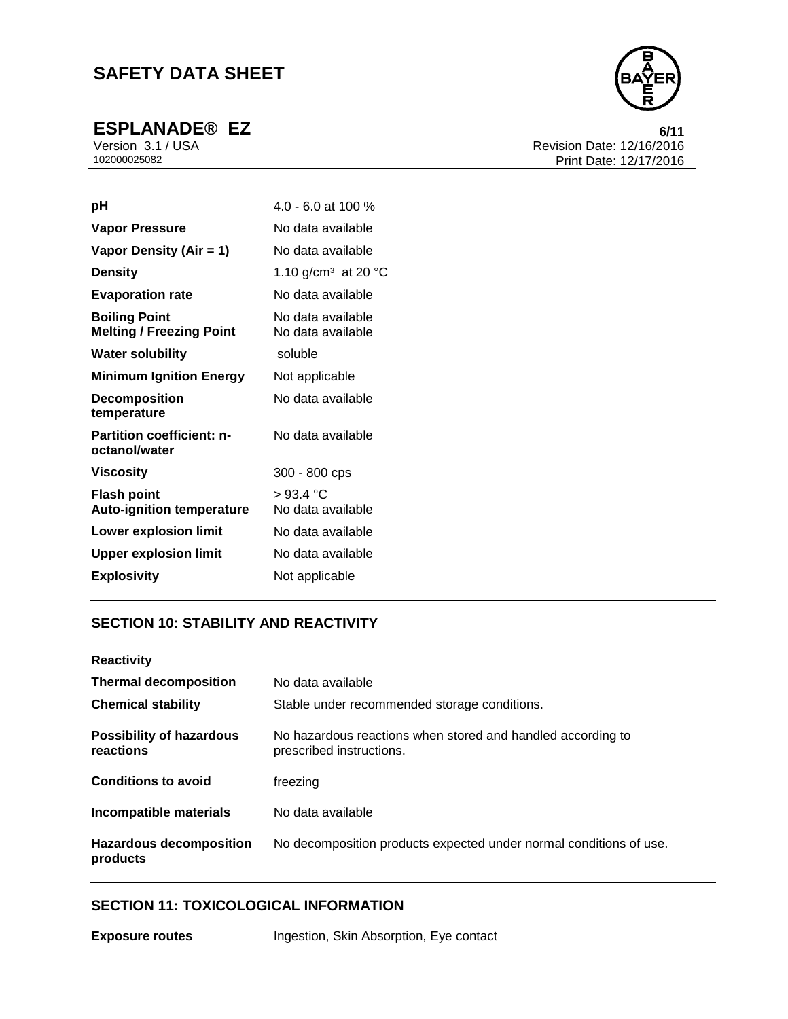

**ESPLANADE® EZ** 6/11<br>Version 3.1 / USA 6/11<br>Revision Date: 12/16/2016 Version 3.1 / USA Revision Date: 12/16/2016 Print Date: 12/17/2016

| рH                                                      | $4.0 - 6.0$ at 100 %                   |
|---------------------------------------------------------|----------------------------------------|
| <b>Vapor Pressure</b>                                   | No data available                      |
| Vapor Density (Air = 1)                                 | No data available                      |
| <b>Density</b>                                          | 1.10 g/cm <sup>3</sup> at 20 °C        |
| <b>Evaporation rate</b>                                 | No data available                      |
| <b>Boiling Point</b><br><b>Melting / Freezing Point</b> | No data available<br>No data available |
| <b>Water solubility</b>                                 | soluble                                |
| <b>Minimum Ignition Energy</b>                          | Not applicable                         |
| <b>Decomposition</b><br>temperature                     | No data available                      |
| <b>Partition coefficient: n-</b><br>octanol/water       | No data available                      |
| Viscosity                                               | 300 - 800 cps                          |
| <b>Flash point</b><br><b>Auto-ignition temperature</b>  | >93.4 °C<br>No data available          |
| <b>Lower explosion limit</b>                            | No data available                      |
| <b>Upper explosion limit</b>                            | No data available                      |
| <b>Explosivity</b>                                      | Not applicable                         |

# **SECTION 10: STABILITY AND REACTIVITY**

| <b>Reactivity</b>                            |                                                                                         |
|----------------------------------------------|-----------------------------------------------------------------------------------------|
| <b>Thermal decomposition</b>                 | No data available                                                                       |
| <b>Chemical stability</b>                    | Stable under recommended storage conditions.                                            |
| <b>Possibility of hazardous</b><br>reactions | No hazardous reactions when stored and handled according to<br>prescribed instructions. |
| <b>Conditions to avoid</b>                   | freezing                                                                                |
| <b>Incompatible materials</b>                | No data available                                                                       |
| <b>Hazardous decomposition</b><br>products   | No decomposition products expected under normal conditions of use.                      |

# **SECTION 11: TOXICOLOGICAL INFORMATION**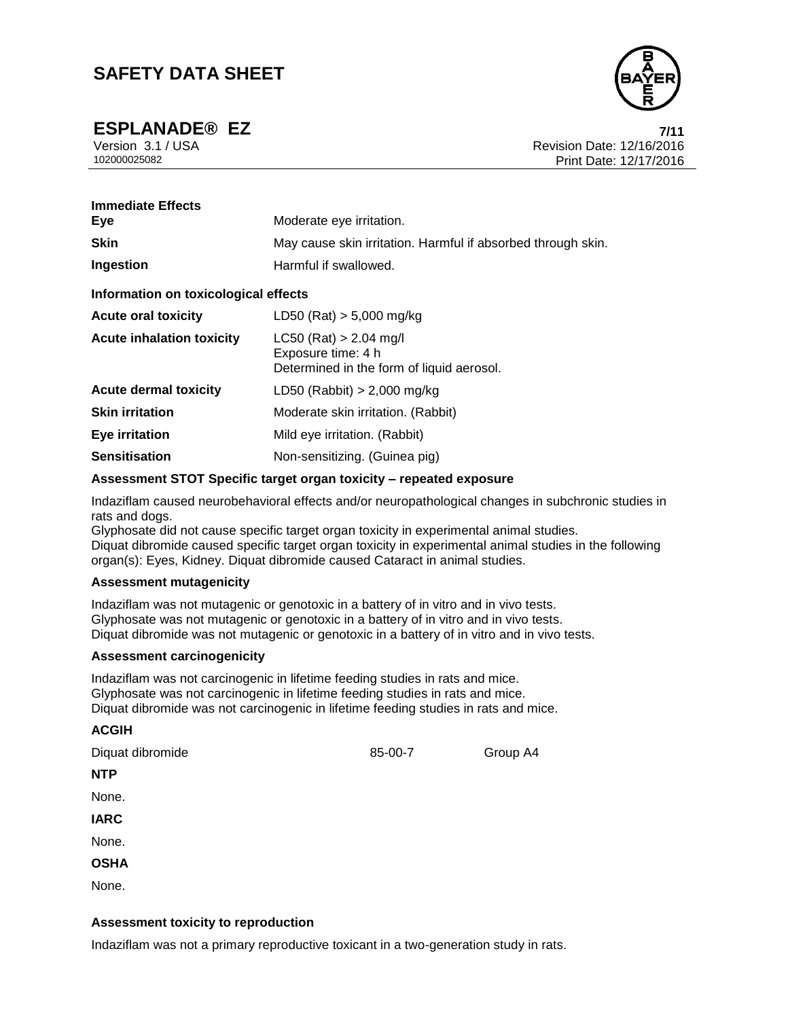

**ESPLANADE® EZ 7/11**

Version 3.1 / USA Revision Date: 12/16/2016<br>102000025082<br>Print Date: 12/17/2016 Print Date: 12/17/2016

| <b>Immediate Effects</b><br>Eye      | Moderate eye irritation.                                                                    |  |
|--------------------------------------|---------------------------------------------------------------------------------------------|--|
| <b>Skin</b>                          | May cause skin irritation. Harmful if absorbed through skin.                                |  |
| Ingestion                            | Harmful if swallowed.                                                                       |  |
| Information on toxicological effects |                                                                                             |  |
| <b>Acute oral toxicity</b>           | LD50 (Rat) $> 5,000$ mg/kg                                                                  |  |
| <b>Acute inhalation toxicity</b>     | $LC50$ (Rat) > 2.04 mg/l<br>Exposure time: 4 h<br>Determined in the form of liquid aerosol. |  |
| <b>Acute dermal toxicity</b>         | LD50 (Rabbit) $> 2,000$ mg/kg                                                               |  |
| <b>Skin irritation</b>               | Moderate skin irritation. (Rabbit)                                                          |  |
| <b>Eye irritation</b>                | Mild eye irritation. (Rabbit)                                                               |  |
| <b>Sensitisation</b>                 | Non-sensitizing. (Guinea pig)                                                               |  |

#### **Assessment STOT Specific target organ toxicity – repeated exposure**

Indaziflam caused neurobehavioral effects and/or neuropathological changes in subchronic studies in rats and dogs.

Glyphosate did not cause specific target organ toxicity in experimental animal studies. Diquat dibromide caused specific target organ toxicity in experimental animal studies in the following organ(s): Eyes, Kidney. Diquat dibromide caused Cataract in animal studies.

#### **Assessment mutagenicity**

Indaziflam was not mutagenic or genotoxic in a battery of in vitro and in vivo tests. Glyphosate was not mutagenic or genotoxic in a battery of in vitro and in vivo tests. Diquat dibromide was not mutagenic or genotoxic in a battery of in vitro and in vivo tests.

#### **Assessment carcinogenicity**

**ACGIH**

Indaziflam was not carcinogenic in lifetime feeding studies in rats and mice. Glyphosate was not carcinogenic in lifetime feeding studies in rats and mice. Diquat dibromide was not carcinogenic in lifetime feeding studies in rats and mice.

#### **Assessment toxicity to reproduction**

Indaziflam was not a primary reproductive toxicant in a two-generation study in rats.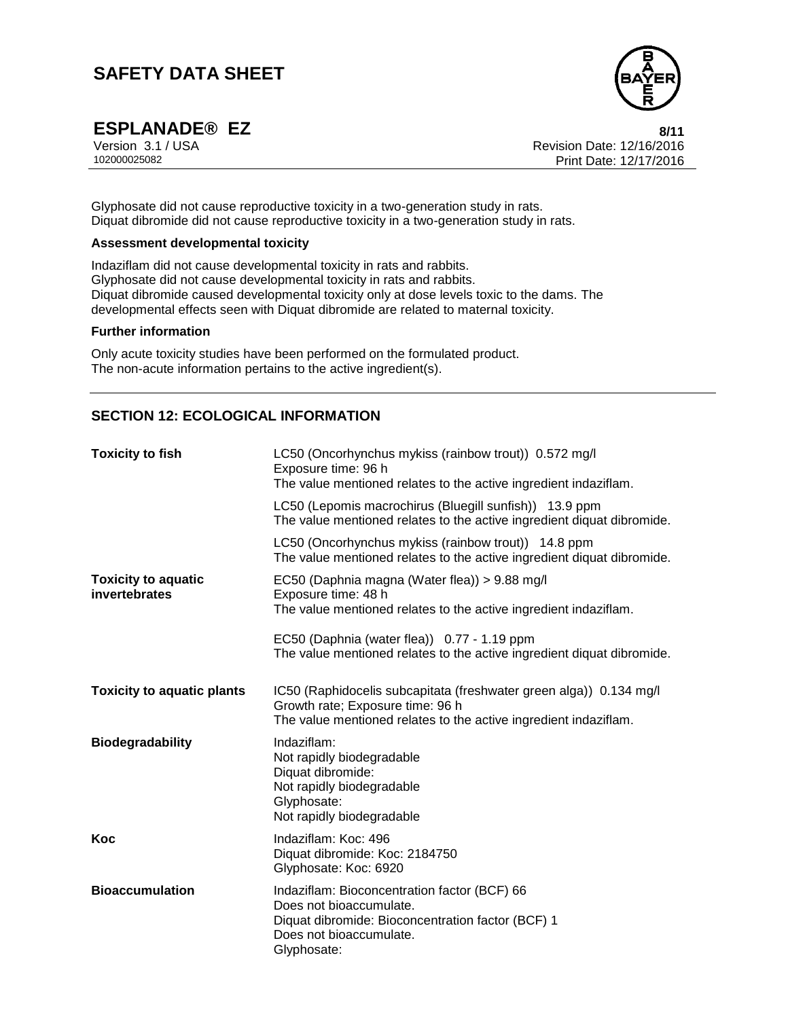

**ESPLANADE® EZ**<br>Version 3.1/USA 8/11<br>Revision Date: 12/16/2016 Version 3.1 / USA Revision Date: 12/16/2016 Print Date: 12/17/2016

Glyphosate did not cause reproductive toxicity in a two-generation study in rats. Diquat dibromide did not cause reproductive toxicity in a two-generation study in rats.

## **Assessment developmental toxicity**

Indaziflam did not cause developmental toxicity in rats and rabbits. Glyphosate did not cause developmental toxicity in rats and rabbits. Diquat dibromide caused developmental toxicity only at dose levels toxic to the dams. The developmental effects seen with Diquat dibromide are related to maternal toxicity.

#### **Further information**

Only acute toxicity studies have been performed on the formulated product. The non-acute information pertains to the active ingredient(s).

# **SECTION 12: ECOLOGICAL INFORMATION**

| <b>Toxicity to fish</b>                     | LC50 (Oncorhynchus mykiss (rainbow trout)) 0.572 mg/l<br>Exposure time: 96 h<br>The value mentioned relates to the active ingredient indaziflam.                           |  |  |
|---------------------------------------------|----------------------------------------------------------------------------------------------------------------------------------------------------------------------------|--|--|
|                                             | LC50 (Lepomis macrochirus (Bluegill sunfish)) 13.9 ppm<br>The value mentioned relates to the active ingredient diquat dibromide.                                           |  |  |
|                                             | LC50 (Oncorhynchus mykiss (rainbow trout)) 14.8 ppm<br>The value mentioned relates to the active ingredient diquat dibromide.                                              |  |  |
| <b>Toxicity to aquatic</b><br>invertebrates | EC50 (Daphnia magna (Water flea)) > 9.88 mg/l<br>Exposure time: 48 h<br>The value mentioned relates to the active ingredient indaziflam.                                   |  |  |
|                                             | EC50 (Daphnia (water flea)) 0.77 - 1.19 ppm<br>The value mentioned relates to the active ingredient diquat dibromide.                                                      |  |  |
| <b>Toxicity to aquatic plants</b>           | IC50 (Raphidocelis subcapitata (freshwater green alga)) 0.134 mg/l<br>Growth rate; Exposure time: 96 h<br>The value mentioned relates to the active ingredient indaziflam. |  |  |
| <b>Biodegradability</b>                     | Indaziflam:<br>Not rapidly biodegradable<br>Diquat dibromide:<br>Not rapidly biodegradable<br>Glyphosate:<br>Not rapidly biodegradable                                     |  |  |
| Koc                                         | Indaziflam: Koc: 496<br>Diquat dibromide: Koc: 2184750<br>Glyphosate: Koc: 6920                                                                                            |  |  |
| <b>Bioaccumulation</b>                      | Indaziflam: Bioconcentration factor (BCF) 66<br>Does not bioaccumulate.<br>Diquat dibromide: Bioconcentration factor (BCF) 1<br>Does not bioaccumulate.<br>Glyphosate:     |  |  |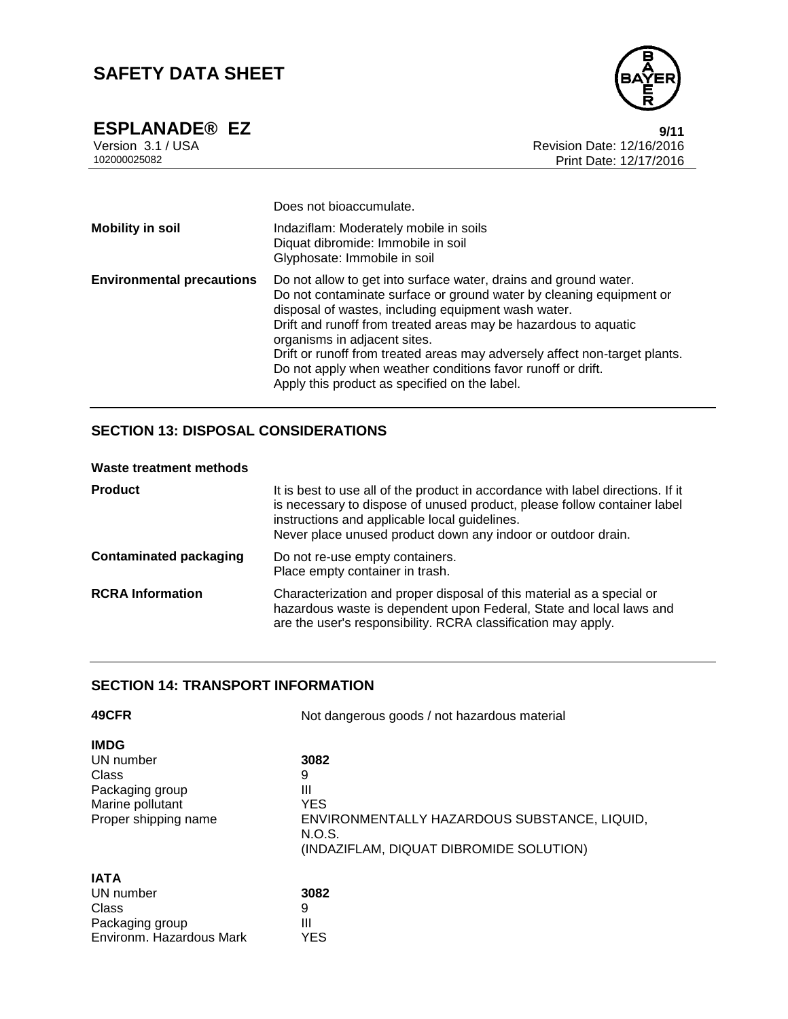

**ESPLANADE® EZ 9/11** Version 3.1 / USA Revision Date: 12/16/2016 Print Date: 12/17/2016

|                                  | Does not bioaccumulate.                                                                                                                                                                                                                                                                                                                                                                                                                                                                         |
|----------------------------------|-------------------------------------------------------------------------------------------------------------------------------------------------------------------------------------------------------------------------------------------------------------------------------------------------------------------------------------------------------------------------------------------------------------------------------------------------------------------------------------------------|
| <b>Mobility in soil</b>          | Indaziflam: Moderately mobile in soils<br>Diquat dibromide: Immobile in soil<br>Glyphosate: Immobile in soil                                                                                                                                                                                                                                                                                                                                                                                    |
| <b>Environmental precautions</b> | Do not allow to get into surface water, drains and ground water.<br>Do not contaminate surface or ground water by cleaning equipment or<br>disposal of wastes, including equipment wash water.<br>Drift and runoff from treated areas may be hazardous to aquatic<br>organisms in adjacent sites.<br>Drift or runoff from treated areas may adversely affect non-target plants.<br>Do not apply when weather conditions favor runoff or drift.<br>Apply this product as specified on the label. |

# **SECTION 13: DISPOSAL CONSIDERATIONS**

## **Waste treatment methods**

| <b>Product</b>          | It is best to use all of the product in accordance with label directions. If it<br>is necessary to dispose of unused product, please follow container label<br>instructions and applicable local guidelines.<br>Never place unused product down any indoor or outdoor drain. |
|-------------------------|------------------------------------------------------------------------------------------------------------------------------------------------------------------------------------------------------------------------------------------------------------------------------|
| Contaminated packaging  | Do not re-use empty containers.<br>Place empty container in trash.                                                                                                                                                                                                           |
| <b>RCRA Information</b> | Characterization and proper disposal of this material as a special or<br>hazardous waste is dependent upon Federal, State and local laws and<br>are the user's responsibility. RCRA classification may apply.                                                                |

## **SECTION 14: TRANSPORT INFORMATION**

| 49CFR                    | Not dangerous goods / not hazardous material |  |  |
|--------------------------|----------------------------------------------|--|--|
| <b>IMDG</b>              |                                              |  |  |
| UN number                | 3082                                         |  |  |
| Class                    | 9                                            |  |  |
| Packaging group          | Ш                                            |  |  |
| Marine pollutant         | <b>YES</b>                                   |  |  |
| Proper shipping name     | ENVIRONMENTALLY HAZARDOUS SUBSTANCE, LIQUID, |  |  |
|                          | N.O.S.                                       |  |  |
|                          | (INDAZIFLAM, DIQUAT DIBROMIDE SOLUTION)      |  |  |
| <b>IATA</b>              |                                              |  |  |
| UN number                | 3082                                         |  |  |
| Class                    | 9                                            |  |  |
| Packaging group          | Ш                                            |  |  |
| Environm. Hazardous Mark | YES                                          |  |  |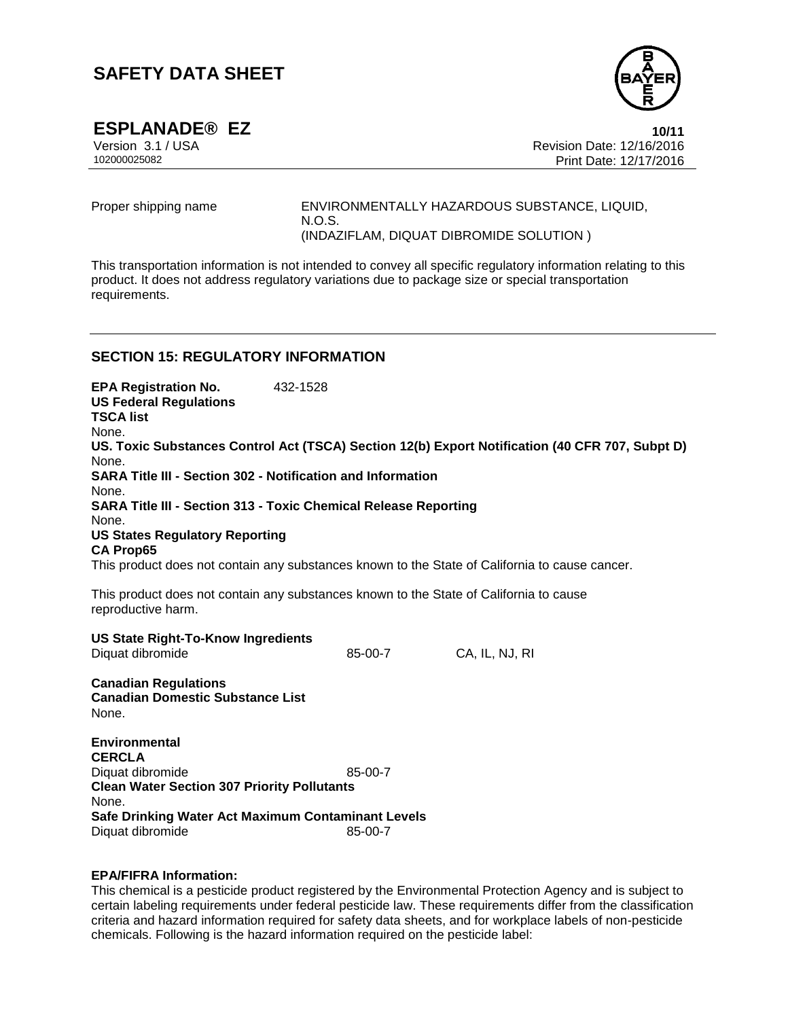

**ESPLANADE<sup>®</sup> EZ**<br>Version 3.1/USA **10/11**<br>Revision Date: 12/16/2016 Version 3.1 / USA Revision Date: 12/16/2016 Print Date: 12/17/2016

Proper shipping name ENVIRONMENTALLY HAZARDOUS SUBSTANCE, LIQUID, N.O.S. (INDAZIFLAM, DIQUAT DIBROMIDE SOLUTION )

This transportation information is not intended to convey all specific regulatory information relating to this product. It does not address regulatory variations due to package size or special transportation requirements.

## **SECTION 15: REGULATORY INFORMATION**

**EPA Registration No.** 432-1528 **US Federal Regulations TSCA list** None. **US. Toxic Substances Control Act (TSCA) Section 12(b) Export Notification (40 CFR 707, Subpt D)** None. **SARA Title III - Section 302 - Notification and Information** None. **SARA Title III - Section 313 - Toxic Chemical Release Reporting** None. **US States Regulatory Reporting CA Prop65** This product does not contain any substances known to the State of California to cause cancer. This product does not contain any substances known to the State of California to cause reproductive harm. **US State Right-To-Know Ingredients** Diquat dibromide 85-00-7 CA, IL, NJ, RI **Canadian Regulations Canadian Domestic Substance List** None. **Environmental CERCLA**

Diquat dibromide 85-00-7 **Clean Water Section 307 Priority Pollutants** None. **Safe Drinking Water Act Maximum Contaminant Levels** Diquat dibromide 85-00-7

#### **EPA/FIFRA Information:**

This chemical is a pesticide product registered by the Environmental Protection Agency and is subject to certain labeling requirements under federal pesticide law. These requirements differ from the classification criteria and hazard information required for safety data sheets, and for workplace labels of non-pesticide chemicals. Following is the hazard information required on the pesticide label: